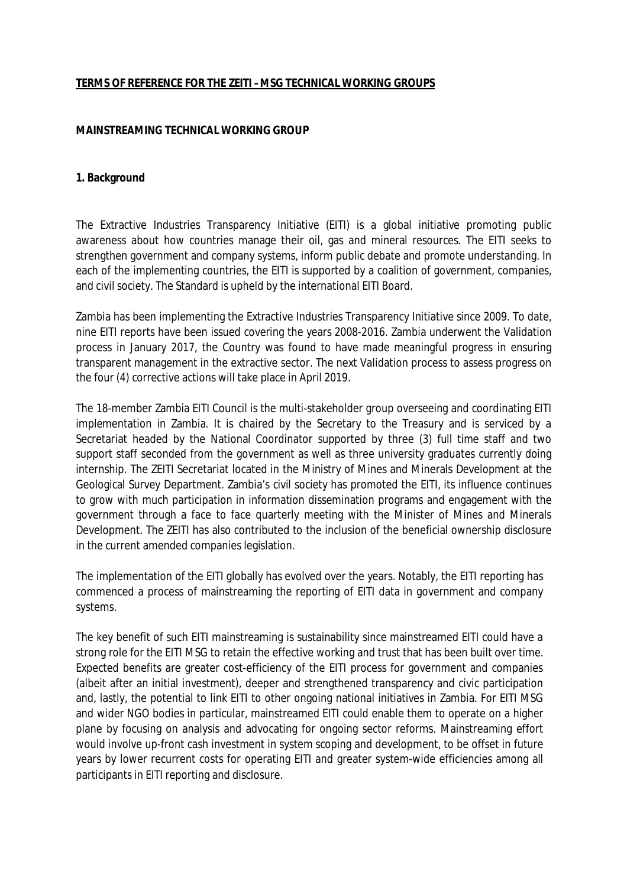### **TERMS OF REFERENCE FOR THE ZEITI –MSG TECHNICAL WORKING GROUPS**

### **MAINSTREAMING TECHNICAL WORKING GROUP**

#### **1. Background**

The Extractive Industries Transparency Initiative (EITI) is a global initiative promoting public awareness about how countries manage their oil, gas and mineral resources. The EITI seeks to strengthen government and company systems, inform public debate and promote understanding. In each of the implementing countries, the EITI is supported by a coalition of government, companies, and civil society. The Standard is upheld by the international EITI Board.

Zambia has been implementing the Extractive Industries Transparency Initiative since 2009. To date, nine EITI reports have been issued covering the years 2008-2016. Zambia underwent the Validation process in January 2017, the Country was found to have made meaningful progress in ensuring transparent management in the extractive sector. The next Validation process to assess progress on the four (4) corrective actions will take place in April 2019.

The 18-member Zambia EITI Council is the multi-stakeholder group overseeing and coordinating EITI implementation in Zambia. It is chaired by the Secretary to the Treasury and is serviced by a Secretariat headed by the National Coordinator supported by three (3) full time staff and two support staff seconded from the government as well as three university graduates currently doing internship. The ZEITI Secretariat located in the Ministry of Mines and Minerals Development at the Geological Survey Department. Zambia's civil society has promoted the EITI, its influence continues to grow with much participation in information dissemination programs and engagement with the government through a face to face quarterly meeting with the Minister of Mines and Minerals Development. The ZEITI has also contributed to the inclusion of the beneficial ownership disclosure in the current amended companies legislation.

The implementation of the EITI globally has evolved over the years. Notably, the EITI reporting has commenced a process of mainstreaming the reporting of EITI data in government and company systems.

The key benefit of such EITI mainstreaming is sustainability since mainstreamed EITI could have a strong role for the EITI MSG to retain the effective working and trust that has been built over time. Expected benefits are greater cost-efficiency of the EITI process for government and companies (albeit after an initial investment), deeper and strengthened transparency and civic participation and, lastly, the potential to link EITI to other ongoing national initiatives in Zambia. For EITI MSG and wider NGO bodies in particular, mainstreamed EITI could enable them to operate on a higher plane by focusing on analysis and advocating for ongoing sector reforms. Mainstreaming effort would involve up-front cash investment in system scoping and development, to be offset in future years by lower recurrent costs for operating EITI and greater system-wide efficiencies among all participants in EITI reporting and disclosure.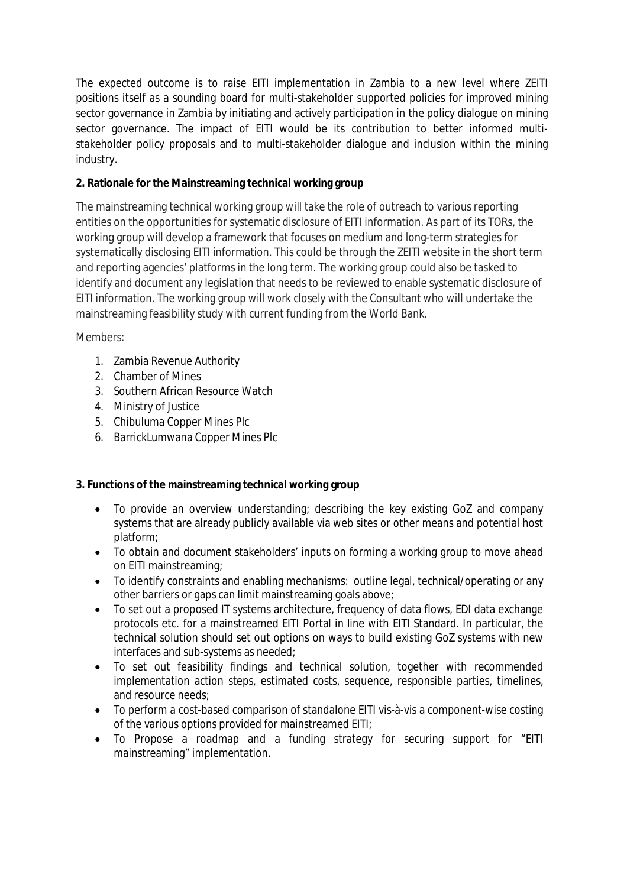The expected outcome is to raise EITI implementation in Zambia to a new level where ZEITI positions itself as a sounding board for multi-stakeholder supported policies for improved mining sector governance in Zambia by initiating and actively participation in the policy dialogue on mining sector governance. The impact of EITI would be its contribution to better informed multistakeholder policy proposals and to multi-stakeholder dialogue and inclusion within the mining industry.

# **2. Rationale for the Mainstreaming technical working group**

The mainstreaming technical working group will take the role of outreach to various reporting entities on the opportunities for systematic disclosure of EITI information. As part of its TORs, the working group will develop a framework that focuses on medium and long-term strategies for systematically disclosing EITI information. This could be through the ZEITI website in the short term and reporting agencies' platforms in the long term. The working group could also be tasked to identify and document any legislation that needs to be reviewed to enable systematic disclosure of EITI information. The working group will work closely with the Consultant who will undertake the mainstreaming feasibility study with current funding from the World Bank.

Members:

- 1. Zambia Revenue Authority
- 2. Chamber of Mines
- 3. Southern African Resource Watch
- 4. Ministry of Justice
- 5. Chibuluma Copper Mines Plc
- 6. BarrickLumwana Copper Mines Plc

# **3. Functions of the mainstreaming technical working group**

- To provide an overview understanding; describing the key existing GoZ and company systems that are already publicly available via web sites or other means and potential host platform;
- To obtain and document stakeholders' inputs on forming a working group to move ahead on EITI mainstreaming;
- To identify constraints and enabling mechanisms: outline legal, technical/operating or any other barriers or gaps can limit mainstreaming goals above;
- To set out a proposed IT systems architecture, frequency of data flows, EDI data exchange protocols etc. for a mainstreamed EITI Portal in line with EITI Standard. In particular, the technical solution should set out options on ways to build existing GoZ systems with new interfaces and sub-systems as needed;
- To set out feasibility findings and technical solution, together with recommended implementation action steps, estimated costs, sequence, responsible parties, timelines, and resource needs;
- To perform a cost-based comparison of standalone EITI vis-à-vis a component-wise costing of the various options provided for mainstreamed EITI;
- To Propose a roadmap and a funding strategy for securing support for "EITI mainstreaming" implementation.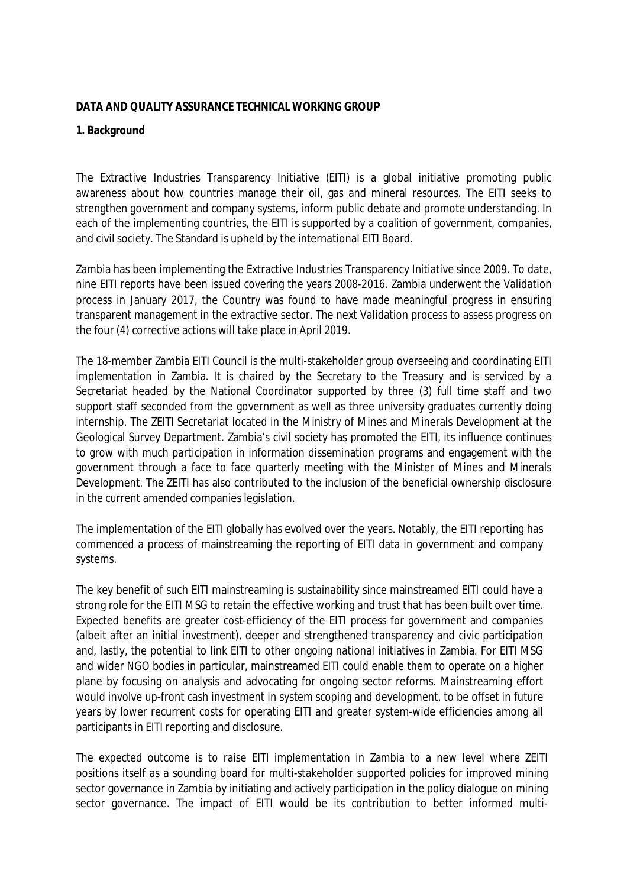### **DATA AND QUALITY ASSURANCE TECHNICAL WORKING GROUP**

### **1. Background**

The Extractive Industries Transparency Initiative (EITI) is a global initiative promoting public awareness about how countries manage their oil, gas and mineral resources. The EITI seeks to strengthen government and company systems, inform public debate and promote understanding. In each of the implementing countries, the EITI is supported by a coalition of government, companies, and civil society. The Standard is upheld by the international EITI Board.

Zambia has been implementing the Extractive Industries Transparency Initiative since 2009. To date, nine EITI reports have been issued covering the years 2008-2016. Zambia underwent the Validation process in January 2017, the Country was found to have made meaningful progress in ensuring transparent management in the extractive sector. The next Validation process to assess progress on the four (4) corrective actions will take place in April 2019.

The 18-member Zambia EITI Council is the multi-stakeholder group overseeing and coordinating EITI implementation in Zambia. It is chaired by the Secretary to the Treasury and is serviced by a Secretariat headed by the National Coordinator supported by three (3) full time staff and two support staff seconded from the government as well as three university graduates currently doing internship. The ZEITI Secretariat located in the Ministry of Mines and Minerals Development at the Geological Survey Department. Zambia's civil society has promoted the EITI, its influence continues to grow with much participation in information dissemination programs and engagement with the government through a face to face quarterly meeting with the Minister of Mines and Minerals Development. The ZEITI has also contributed to the inclusion of the beneficial ownership disclosure in the current amended companies legislation.

The implementation of the EITI globally has evolved over the years. Notably, the EITI reporting has commenced a process of mainstreaming the reporting of EITI data in government and company systems.

The key benefit of such EITI mainstreaming is sustainability since mainstreamed EITI could have a strong role for the EITI MSG to retain the effective working and trust that has been built over time. Expected benefits are greater cost-efficiency of the EITI process for government and companies (albeit after an initial investment), deeper and strengthened transparency and civic participation and, lastly, the potential to link EITI to other ongoing national initiatives in Zambia. For EITI MSG and wider NGO bodies in particular, mainstreamed EITI could enable them to operate on a higher plane by focusing on analysis and advocating for ongoing sector reforms. Mainstreaming effort would involve up-front cash investment in system scoping and development, to be offset in future years by lower recurrent costs for operating EITI and greater system-wide efficiencies among all participants in EITI reporting and disclosure.

The expected outcome is to raise EITI implementation in Zambia to a new level where ZEITI positions itself as a sounding board for multi-stakeholder supported policies for improved mining sector governance in Zambia by initiating and actively participation in the policy dialogue on mining sector governance. The impact of EITI would be its contribution to better informed multi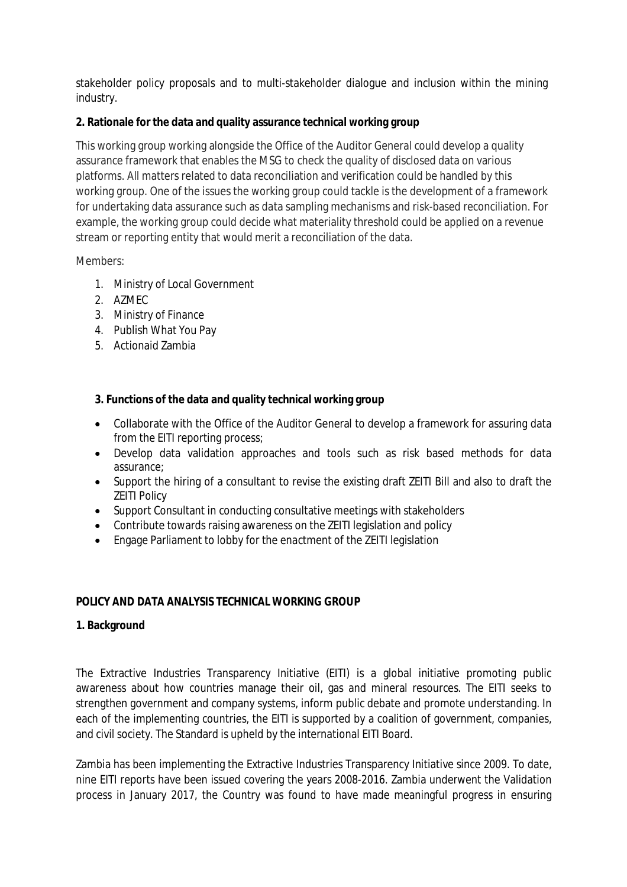stakeholder policy proposals and to multi-stakeholder dialogue and inclusion within the mining industry.

### **2. Rationale for the data and quality assurance technical working group**

This working group working alongside the Office of the Auditor General could develop a quality assurance framework that enables the MSG to check the quality of disclosed data on various platforms. All matters related to data reconciliation and verification could be handled by this working group. One of the issues the working group could tackle is the development of a framework for undertaking data assurance such as data sampling mechanisms and risk-based reconciliation. For example, the working group could decide what materiality threshold could be applied on a revenue stream or reporting entity that would merit a reconciliation of the data.

### Members:

- 1. Ministry of Local Government
- 2. AZMEC
- 3. Ministry of Finance
- 4. Publish What You Pay
- 5. Actionaid Zambia

# **3. Functions of the data and quality technical working group**

- Collaborate with the Office of the Auditor General to develop a framework for assuring data from the EITI reporting process;
- Develop data validation approaches and tools such as risk based methods for data assurance;
- Support the hiring of a consultant to revise the existing draft ZEITI Bill and also to draft the ZEITI Policy
- Support Consultant in conducting consultative meetings with stakeholders
- Contribute towards raising awareness on the ZEITI legislation and policy
- Engage Parliament to lobby for the enactment of the ZEITI legislation

# **POLICY AND DATA ANALYSIS TECHNICAL WORKING GROUP**

### **1. Background**

The Extractive Industries Transparency Initiative (EITI) is a global initiative promoting public awareness about how countries manage their oil, gas and mineral resources. The EITI seeks to strengthen government and company systems, inform public debate and promote understanding. In each of the implementing countries, the EITI is supported by a coalition of government, companies, and civil society. The Standard is upheld by the international EITI Board.

Zambia has been implementing the Extractive Industries Transparency Initiative since 2009. To date, nine EITI reports have been issued covering the years 2008-2016. Zambia underwent the Validation process in January 2017, the Country was found to have made meaningful progress in ensuring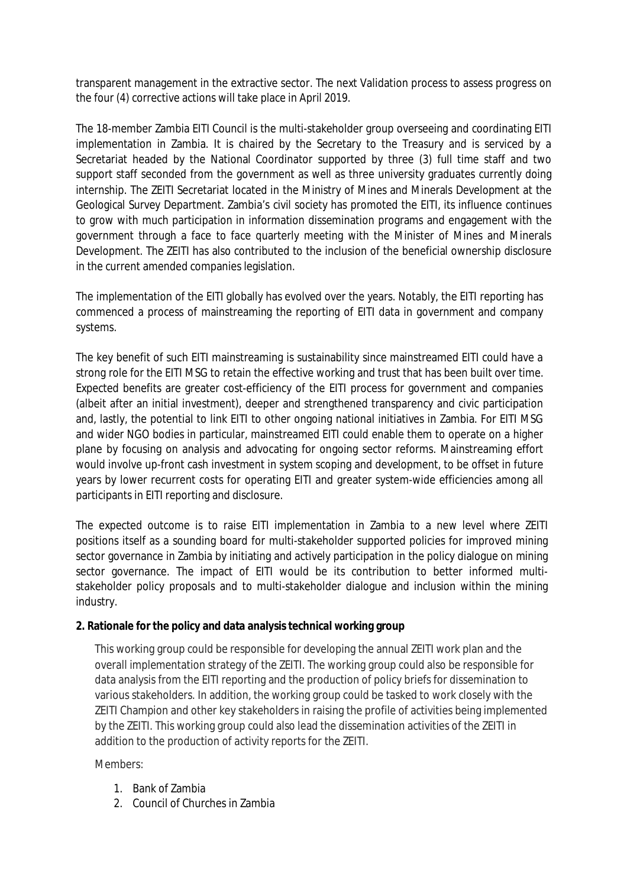transparent management in the extractive sector. The next Validation process to assess progress on the four (4) corrective actions will take place in April 2019.

The 18-member Zambia EITI Council is the multi-stakeholder group overseeing and coordinating EITI implementation in Zambia. It is chaired by the Secretary to the Treasury and is serviced by a Secretariat headed by the National Coordinator supported by three (3) full time staff and two support staff seconded from the government as well as three university graduates currently doing internship. The ZEITI Secretariat located in the Ministry of Mines and Minerals Development at the Geological Survey Department. Zambia's civil society has promoted the EITI, its influence continues to grow with much participation in information dissemination programs and engagement with the government through a face to face quarterly meeting with the Minister of Mines and Minerals Development. The ZEITI has also contributed to the inclusion of the beneficial ownership disclosure in the current amended companies legislation.

The implementation of the EITI globally has evolved over the years. Notably, the EITI reporting has commenced a process of mainstreaming the reporting of EITI data in government and company systems.

The key benefit of such EITI mainstreaming is sustainability since mainstreamed EITI could have a strong role for the EITI MSG to retain the effective working and trust that has been built over time. Expected benefits are greater cost-efficiency of the EITI process for government and companies (albeit after an initial investment), deeper and strengthened transparency and civic participation and, lastly, the potential to link EITI to other ongoing national initiatives in Zambia. For EITI MSG and wider NGO bodies in particular, mainstreamed EITI could enable them to operate on a higher plane by focusing on analysis and advocating for ongoing sector reforms. Mainstreaming effort would involve up-front cash investment in system scoping and development, to be offset in future years by lower recurrent costs for operating EITI and greater system-wide efficiencies among all participants in EITI reporting and disclosure.

The expected outcome is to raise EITI implementation in Zambia to a new level where ZEITI positions itself as a sounding board for multi-stakeholder supported policies for improved mining sector governance in Zambia by initiating and actively participation in the policy dialogue on mining sector governance. The impact of EITI would be its contribution to better informed multistakeholder policy proposals and to multi-stakeholder dialogue and inclusion within the mining industry.

### **2. Rationale for the policy and data analysis technical working group**

This working group could be responsible for developing the annual ZEITI work plan and the overall implementation strategy of the ZEITI. The working group could also be responsible for data analysis from the EITI reporting and the production of policy briefs for dissemination to various stakeholders. In addition, the working group could be tasked to work closely with the ZEITI Champion and other key stakeholders in raising the profile of activities being implemented by the ZEITI. This working group could also lead the dissemination activities of the ZEITI in addition to the production of activity reports for the ZEITI.

Members:

- 1. Bank of Zambia
- 2. Council of Churches in Zambia